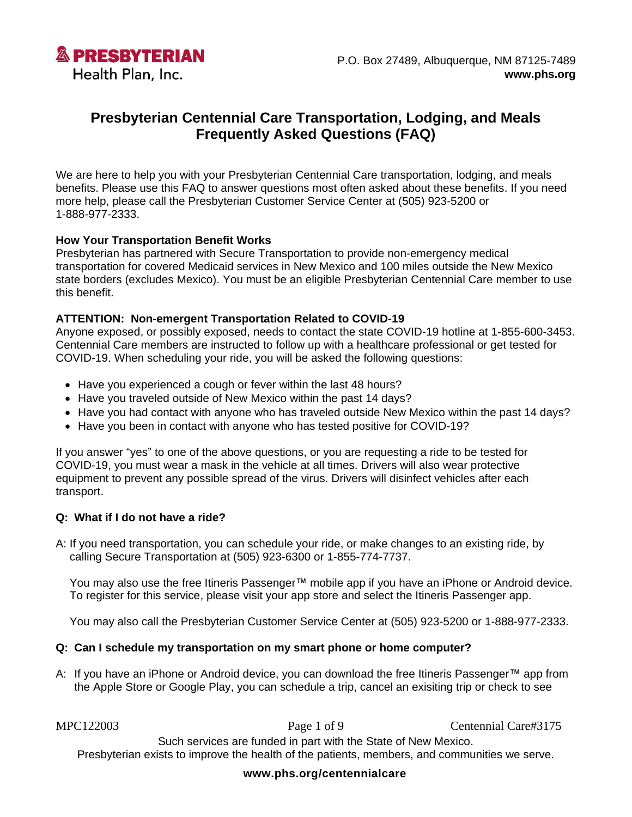

# **Presbyterian Centennial Care Transportation, Lodging, and Meals Frequently Asked Questions (FAQ)**

We are here to help you with your Presbyterian Centennial Care transportation, lodging, and meals benefits. Please use this FAQ to answer questions most often asked about these benefits. If you need more help, please call the Presbyterian Customer Service Center at (505) 923-5200 or 1-888-977-2333.

#### **How Your Transportation Benefit Works**

Presbyterian has partnered with Secure Transportation to provide non-emergency medical transportation for covered Medicaid services in New Mexico and 100 miles outside the New Mexico state borders (excludes Mexico). You must be an eligible Presbyterian Centennial Care member to use this benefit.

#### **ATTENTION: Non-emergent Transportation Related to COVID-19**

Anyone exposed, or possibly exposed, needs to contact the state COVID-19 hotline at 1-855-600-3453. Centennial Care members are instructed to follow up with a healthcare professional or get tested for COVID-19. When scheduling your ride, you will be asked the following questions:

- Have you experienced a cough or fever within the last 48 hours?
- Have you traveled outside of New Mexico within the past 14 days?
- Have you had contact with anyone who has traveled outside New Mexico within the past 14 days?
- Have you been in contact with anyone who has tested positive for COVID-19?

If you answer "yes" to one of the above questions, or you are requesting a ride to be tested for COVID-19, you must wear a mask in the vehicle at all times. Drivers will also wear protective equipment to prevent any possible spread of the virus. Drivers will disinfect vehicles after each transport.

#### **Q: What if I do not have a ride?**

A: If you need transportation, you can schedule your ride, or make changes to an existing ride, by calling Secure Transportation at (505) 923-6300 or 1-855-774-7737.

You may also use the free Itineris Passenger™ mobile app if you have an iPhone or Android device. To register for this service, please visit your app store and select the Itineris Passenger app.

You may also call the Presbyterian Customer Service Center at (505) 923-5200 or 1-888-977-2333.

#### **Q: Can I schedule my transportation on my smart phone or home computer?**

A: If you have an iPhone or Android device, you can download the free Itineris Passenger™ app from the Apple Store or Google Play, you can schedule a trip, cancel an exisiting trip or check to see

MPC122003 Page 1 of 9 Centennial Care#3175

Such services are funded in part with the State of New Mexico. Presbyterian exists to improve the health of the patients, members, and communities we serve.

#### **[www.phs.org/centennialcare](http://www.phs.org/centennialcare)**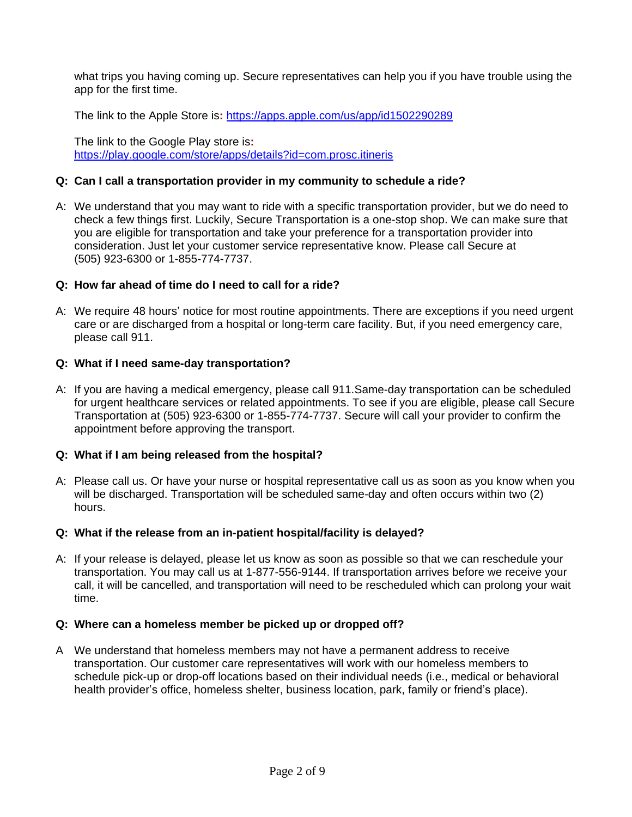what trips you having coming up. Secure representatives can help you if you have trouble using the app for the first time.

The link to the Apple Store is**:** <https://apps.apple.com/us/app/id1502290289>

The link to the Google Play store is**:** <https://play.google.com/store/apps/details?id=com.prosc.itineris>

#### **Q: Can I call a transportation provider in my community to schedule a ride?**

A: We understand that you may want to ride with a specific transportation provider, but we do need to check a few things first. Luckily, Secure Transportation is a one-stop shop. We can make sure that you are eligible for transportation and take your preference for a transportation provider into consideration. Just let your customer service representative know. Please call Secure at (505) 923-6300 or 1-855-774-7737.

## **Q: How far ahead of time do I need to call for a ride?**

A: We require 48 hours' notice for most routine appointments. There are exceptions if you need urgent care or are discharged from a hospital or long-term care facility. But, if you need emergency care, please call 911.

#### **Q: What if I need same-day transportation?**

A: If you are having a medical emergency, please call 911.Same-day transportation can be scheduled for urgent healthcare services or related appointments. To see if you are eligible, please call Secure Transportation at (505) 923-6300 or 1-855-774-7737. Secure will call your provider to confirm the appointment before approving the transport.

## **Q: What if I am being released from the hospital?**

A: Please call us. Or have your nurse or hospital representative call us as soon as you know when you will be discharged. Transportation will be scheduled same-day and often occurs within two (2) hours.

#### **Q: What if the release from an in-patient hospital/facility is delayed?**

A: If your release is delayed, please let us know as soon as possible so that we can reschedule your transportation. You may call us at 1-877-556-9144. If transportation arrives before we receive your call, it will be cancelled, and transportation will need to be rescheduled which can prolong your wait time.

#### **Q: Where can a homeless member be picked up or dropped off?**

A We understand that homeless members may not have a permanent address to receive transportation. Our customer care representatives will work with our homeless members to schedule pick-up or drop-off locations based on their individual needs (i.e., medical or behavioral health provider's office, homeless shelter, business location, park, family or friend's place).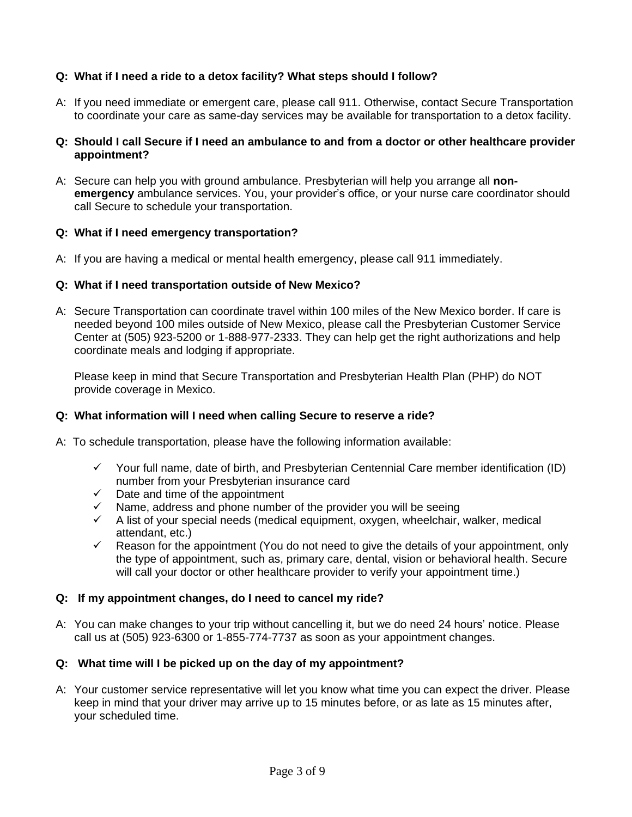# **Q: What if I need a ride to a detox facility? What steps should I follow?**

A: If you need immediate or emergent care, please call 911. Otherwise, contact Secure Transportation to coordinate your care as same-day services may be available for transportation to a detox facility.

## **Q: Should I call Secure if I need an ambulance to and from a doctor or other healthcare provider appointment?**

A: Secure can help you with ground ambulance. Presbyterian will help you arrange all **nonemergency** ambulance services. You, your provider's office, or your nurse care coordinator should call Secure to schedule your transportation.

#### **Q: What if I need emergency transportation?**

A: If you are having a medical or mental health emergency, please call 911 immediately.

#### **Q: What if I need transportation outside of New Mexico?**

A: Secure Transportation can coordinate travel within 100 miles of the New Mexico border. If care is needed beyond 100 miles outside of New Mexico, please call the Presbyterian Customer Service Center at (505) 923-5200 or 1-888-977-2333. They can help get the right authorizations and help coordinate meals and lodging if appropriate.

Please keep in mind that Secure Transportation and Presbyterian Health Plan (PHP) do NOT provide coverage in Mexico.

#### **Q: What information will I need when calling Secure to reserve a ride?**

- A: To schedule transportation, please have the following information available:
	- $\checkmark$  Your full name, date of birth, and Presbyterian Centennial Care member identification (ID) number from your Presbyterian insurance card
	- $\checkmark$  Date and time of the appointment
	- $\checkmark$  Name, address and phone number of the provider you will be seeing
	- $\checkmark$  A list of your special needs (medical equipment, oxygen, wheelchair, walker, medical attendant, etc.)
	- $\checkmark$  Reason for the appointment (You do not need to give the details of your appointment, only the type of appointment, such as, primary care, dental, vision or behavioral health. Secure will call your doctor or other healthcare provider to verify your appointment time.)

#### **Q: If my appointment changes, do I need to cancel my ride?**

A: You can make changes to your trip without cancelling it, but we do need 24 hours' notice. Please call us at (505) 923-6300 or 1-855-774-7737 as soon as your appointment changes.

## **Q: What time will I be picked up on the day of my appointment?**

A: Your customer service representative will let you know what time you can expect the driver. Please keep in mind that your driver may arrive up to 15 minutes before, or as late as 15 minutes after, your scheduled time.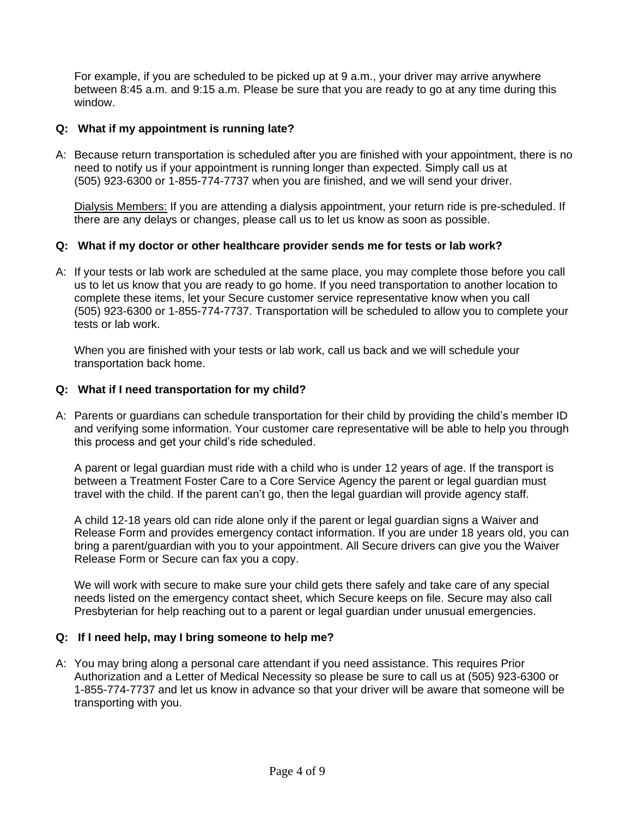For example, if you are scheduled to be picked up at 9 a.m., your driver may arrive anywhere between 8:45 a.m. and 9:15 a.m. Please be sure that you are ready to go at any time during this window.

## **Q: What if my appointment is running late?**

A: Because return transportation is scheduled after you are finished with your appointment, there is no need to notify us if your appointment is running longer than expected. Simply call us at (505) 923-6300 or 1-855-774-7737 when you are finished, and we will send your driver.

Dialysis Members: If you are attending a dialysis appointment, your return ride is pre-scheduled. If there are any delays or changes, please call us to let us know as soon as possible.

## **Q: What if my doctor or other healthcare provider sends me for tests or lab work?**

A: If your tests or lab work are scheduled at the same place, you may complete those before you call us to let us know that you are ready to go home. If you need transportation to another location to complete these items, let your Secure customer service representative know when you call (505) 923-6300 or 1-855-774-7737. Transportation will be scheduled to allow you to complete your tests or lab work.

When you are finished with your tests or lab work, call us back and we will schedule your transportation back home.

## **Q: What if I need transportation for my child?**

A: Parents or guardians can schedule transportation for their child by providing the child's member ID and verifying some information. Your customer care representative will be able to help you through this process and get your child's ride scheduled.

A parent or legal guardian must ride with a child who is under 12 years of age. If the transport is between a Treatment Foster Care to a Core Service Agency the parent or legal guardian must travel with the child. If the parent can't go, then the legal guardian will provide agency staff.

A child 12-18 years old can ride alone only if the parent or legal guardian signs a Waiver and Release Form and provides emergency contact information. If you are under 18 years old, you can bring a parent/guardian with you to your appointment. All Secure drivers can give you the Waiver Release Form or Secure can fax you a copy.

We will work with secure to make sure your child gets there safely and take care of any special needs listed on the emergency contact sheet, which Secure keeps on file. Secure may also call Presbyterian for help reaching out to a parent or legal guardian under unusual emergencies.

## **Q: If I need help, may I bring someone to help me?**

A: You may bring along a personal care attendant if you need assistance. This requires Prior Authorization and a Letter of Medical Necessity so please be sure to call us at (505) 923-6300 or 1-855-774-7737 and let us know in advance so that your driver will be aware that someone will be transporting with you.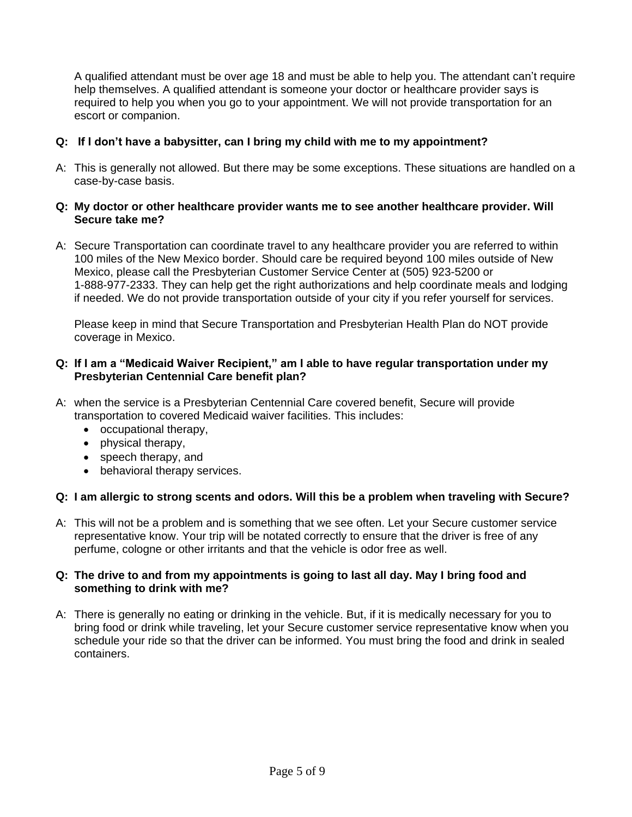A qualified attendant must be over age 18 and must be able to help you. The attendant can't require help themselves. A qualified attendant is someone your doctor or healthcare provider says is required to help you when you go to your appointment. We will not provide transportation for an escort or companion.

# **Q: If I don't have a babysitter, can I bring my child with me to my appointment?**

A: This is generally not allowed. But there may be some exceptions. These situations are handled on a case-by-case basis.

## **Q: My doctor or other healthcare provider wants me to see another healthcare provider. Will Secure take me?**

A: Secure Transportation can coordinate travel to any healthcare provider you are referred to within 100 miles of the New Mexico border. Should care be required beyond 100 miles outside of New Mexico, please call the Presbyterian Customer Service Center at (505) 923-5200 or 1-888-977-2333. They can help get the right authorizations and help coordinate meals and lodging if needed. We do not provide transportation outside of your city if you refer yourself for services.

Please keep in mind that Secure Transportation and Presbyterian Health Plan do NOT provide coverage in Mexico.

## **Q: If I am a "Medicaid Waiver Recipient," am I able to have regular transportation under my Presbyterian Centennial Care benefit plan?**

- A: when the service is a Presbyterian Centennial Care covered benefit, Secure will provide transportation to covered Medicaid waiver facilities. This includes:
	- occupational therapy,
	- physical therapy,
	- speech therapy, and
	- behavioral therapy services.

## **Q: I am allergic to strong scents and odors. Will this be a problem when traveling with Secure?**

A: This will not be a problem and is something that we see often. Let your Secure customer service representative know. Your trip will be notated correctly to ensure that the driver is free of any perfume, cologne or other irritants and that the vehicle is odor free as well.

#### **Q: The drive to and from my appointments is going to last all day. May I bring food and something to drink with me?**

A: There is generally no eating or drinking in the vehicle. But, if it is medically necessary for you to bring food or drink while traveling, let your Secure customer service representative know when you schedule your ride so that the driver can be informed. You must bring the food and drink in sealed containers.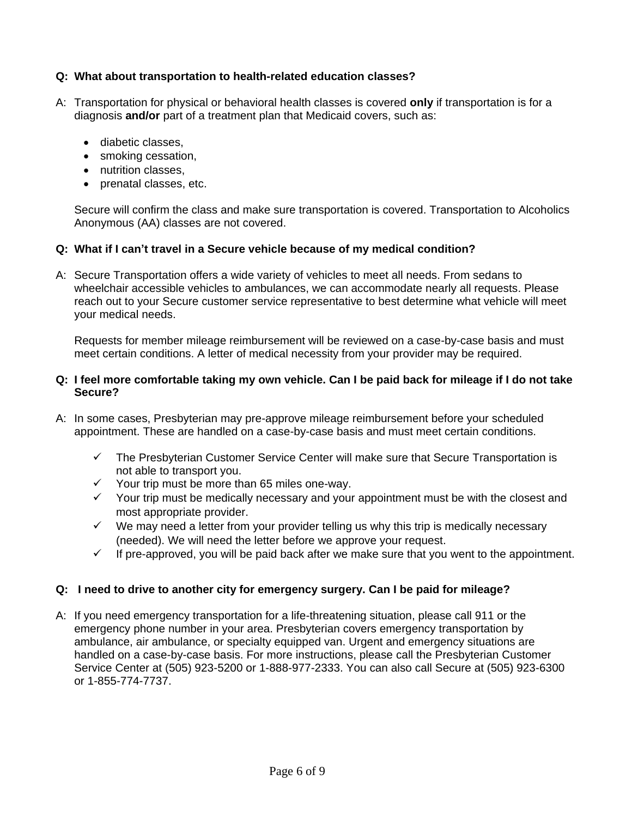# **Q: What about transportation to health-related education classes?**

- A: Transportation for physical or behavioral health classes is covered **only** if transportation is for a diagnosis **and/or** part of a treatment plan that Medicaid covers, such as:
	- diabetic classes,
	- smoking cessation,
	- nutrition classes,
	- prenatal classes, etc.

Secure will confirm the class and make sure transportation is covered. Transportation to Alcoholics Anonymous (AA) classes are not covered.

## **Q: What if I can't travel in a Secure vehicle because of my medical condition?**

A: Secure Transportation offers a wide variety of vehicles to meet all needs. From sedans to wheelchair accessible vehicles to ambulances, we can accommodate nearly all requests. Please reach out to your Secure customer service representative to best determine what vehicle will meet your medical needs.

Requests for member mileage reimbursement will be reviewed on a case-by-case basis and must meet certain conditions. A letter of medical necessity from your provider may be required.

## **Q: I feel more comfortable taking my own vehicle. Can I be paid back for mileage if I do not take Secure?**

- A: In some cases, Presbyterian may pre-approve mileage reimbursement before your scheduled appointment. These are handled on a case-by-case basis and must meet certain conditions.
	- $\checkmark$  The Presbyterian Customer Service Center will make sure that Secure Transportation is not able to transport you.
	- ✓ Your trip must be more than 65 miles one-way.
	- ✓ Your trip must be medically necessary and your appointment must be with the closest and most appropriate provider.
	- $\checkmark$  We may need a letter from your provider telling us why this trip is medically necessary (needed). We will need the letter before we approve your request.
	- $\checkmark$  If pre-approved, you will be paid back after we make sure that you went to the appointment.

# **Q: I need to drive to another city for emergency surgery. Can I be paid for mileage?**

A: If you need emergency transportation for a life-threatening situation, please call 911 or the emergency phone number in your area. Presbyterian covers emergency transportation by ambulance, air ambulance, or specialty equipped van. Urgent and emergency situations are handled on a case-by-case basis. For more instructions, please call the Presbyterian Customer Service Center at (505) 923-5200 or 1-888-977-2333. You can also call Secure at (505) 923-6300 or 1-855-774-7737.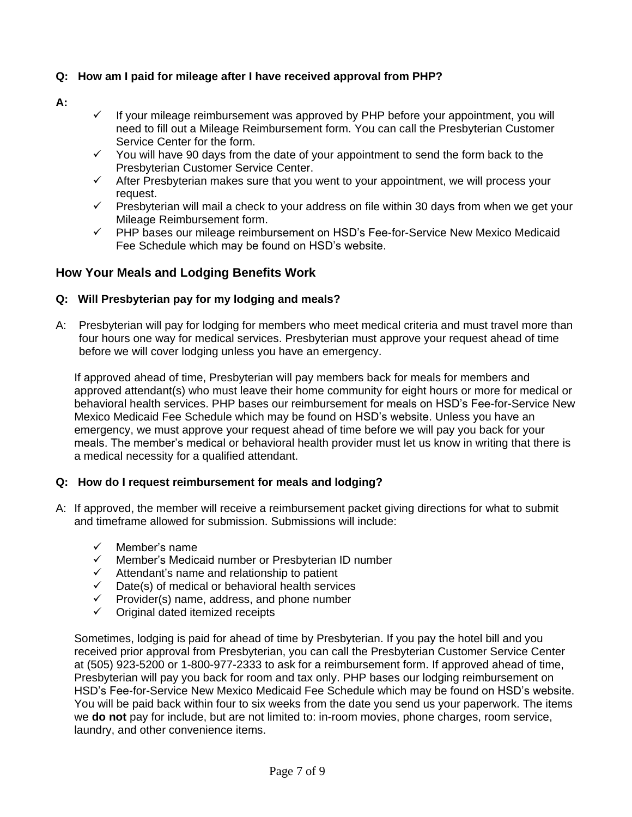# **Q: How am I paid for mileage after I have received approval from PHP?**

## **A:**

- $\checkmark$  If your mileage reimbursement was approved by PHP before your appointment, you will need to fill out a Mileage Reimbursement form. You can call the Presbyterian Customer Service Center for the form.
- ✓ You will have 90 days from the date of your appointment to send the form back to the Presbyterian Customer Service Center.
- $\checkmark$  After Presbyterian makes sure that you went to your appointment, we will process your request.
- $\checkmark$  Presbyterian will mail a check to your address on file within 30 days from when we get your Mileage Reimbursement form.
- ✓ PHP bases our mileage reimbursement on HSD's Fee-for-Service New Mexico Medicaid Fee Schedule which may be found on HSD's website.

# **How Your Meals and Lodging Benefits Work**

#### **Q: Will Presbyterian pay for my lodging and meals?**

A: Presbyterian will pay for lodging for members who meet medical criteria and must travel more than four hours one way for medical services. Presbyterian must approve your request ahead of time before we will cover lodging unless you have an emergency.

If approved ahead of time, Presbyterian will pay members back for meals for members and approved attendant(s) who must leave their home community for eight hours or more for medical or behavioral health services. PHP bases our reimbursement for meals on HSD's Fee-for-Service New Mexico Medicaid Fee Schedule which may be found on HSD's website. Unless you have an emergency, we must approve your request ahead of time before we will pay you back for your meals. The member's medical or behavioral health provider must let us know in writing that there is a medical necessity for a qualified attendant.

## **Q: How do I request reimbursement for meals and lodging?**

- A: If approved, the member will receive a reimbursement packet giving directions for what to submit and timeframe allowed for submission. Submissions will include:
	- ✓ Member's name
	- ✓ Member's Medicaid number or Presbyterian ID number
	- ✓ Attendant's name and relationship to patient
	- $\checkmark$  Date(s) of medical or behavioral health services
	- $\checkmark$  Provider(s) name, address, and phone number
	- ✓ Original dated itemized receipts

Sometimes, lodging is paid for ahead of time by Presbyterian. If you pay the hotel bill and you received prior approval from Presbyterian, you can call the Presbyterian Customer Service Center at (505) 923-5200 or 1-800-977-2333 to ask for a reimbursement form. If approved ahead of time, Presbyterian will pay you back for room and tax only. PHP bases our lodging reimbursement on HSD's Fee-for-Service New Mexico Medicaid Fee Schedule which may be found on HSD's website. You will be paid back within four to six weeks from the date you send us your paperwork. The items we **do not** pay for include, but are not limited to: in-room movies, phone charges, room service, laundry, and other convenience items.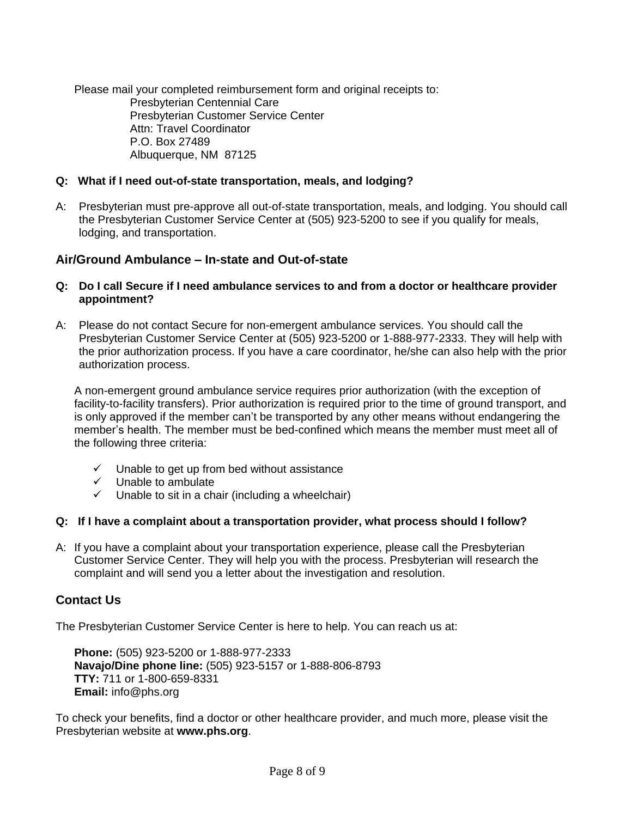Please mail your completed reimbursement form and original receipts to: Presbyterian Centennial Care Presbyterian Customer Service Center Attn: Travel Coordinator P.O. Box 27489 Albuquerque, NM 87125

# **Q: What if I need out-of-state transportation, meals, and lodging?**

A: Presbyterian must pre-approve all out-of-state transportation, meals, and lodging. You should call the Presbyterian Customer Service Center at (505) 923-5200 to see if you qualify for meals, lodging, and transportation.

# **Air/Ground Ambulance – In-state and Out-of-state**

- **Q: Do I call Secure if I need ambulance services to and from a doctor or healthcare provider appointment?**
- A: Please do not contact Secure for non-emergent ambulance services. You should call the Presbyterian Customer Service Center at (505) 923-5200 or 1-888-977-2333. They will help with the prior authorization process. If you have a care coordinator, he/she can also help with the prior authorization process.

A non-emergent ground ambulance service requires prior authorization (with the exception of facility-to-facility transfers). Prior authorization is required prior to the time of ground transport, and is only approved if the member can't be transported by any other means without endangering the member's health. The member must be bed-confined which means the member must meet all of the following three criteria:

- $\checkmark$  Unable to get up from bed without assistance
- ✓ Unable to ambulate
- $\checkmark$  Unable to sit in a chair (including a wheelchair)

## **Q: If I have a complaint about a transportation provider, what process should I follow?**

A: If you have a complaint about your transportation experience, please call the Presbyterian Customer Service Center. They will help you with the process. Presbyterian will research the complaint and will send you a letter about the investigation and resolution.

# **Contact Us**

The Presbyterian Customer Service Center is here to help. You can reach us at:

**Phone:** (505) 923-5200 or 1-888-977-2333 **Navajo/Dine phone line:** (505) 923-5157 or 1-888-806-8793 **TTY:** 711 or 1-800-659-8331 **Email:** [info@phs.org](mailto:info@phs.org) 

To check your benefits, find a doctor or other healthcare provider, and much more, please visit the Presbyterian website at **[www.phs.org](http://www.phs.org/)**.